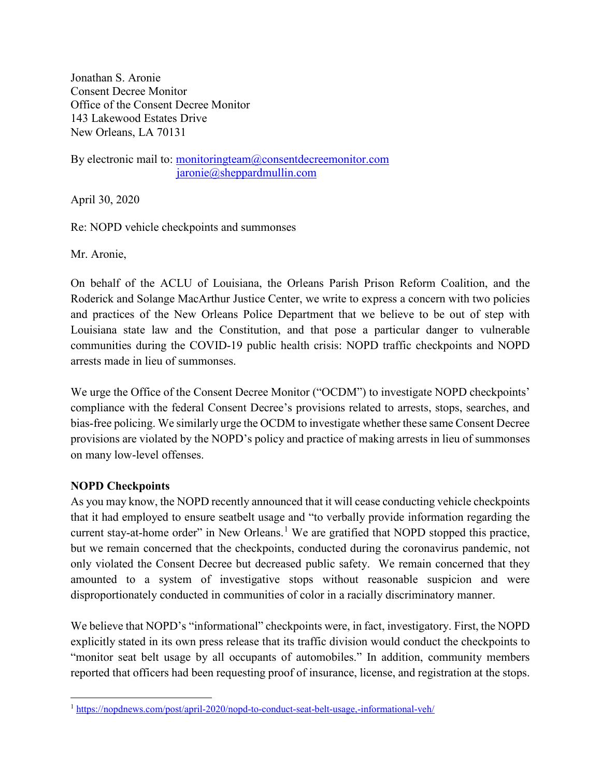Jonathan S. Aronie Consent Decree Monitor Office of the Consent Decree Monitor 143 Lakewood Estates Drive New Orleans, LA 70131

By electronic mail to: [monitoringteam@consentdecreemonitor.com](mailto:monitoringteam@consentdecreemonitor.com) [jaronie@sheppardmullin.com](mailto:jaronie@sheppardmullin.com)

April 30, 2020

Re: NOPD vehicle checkpoints and summonses

Mr. Aronie,

On behalf of the ACLU of Louisiana, the Orleans Parish Prison Reform Coalition, and the Roderick and Solange MacArthur Justice Center, we write to express a concern with two policies and practices of the New Orleans Police Department that we believe to be out of step with Louisiana state law and the Constitution, and that pose a particular danger to vulnerable communities during the COVID-19 public health crisis: NOPD traffic checkpoints and NOPD arrests made in lieu of summonses.

We urge the Office of the Consent Decree Monitor ("OCDM") to investigate NOPD checkpoints' compliance with the federal Consent Decree's provisions related to arrests, stops, searches, and bias-free policing. We similarly urge the OCDM to investigate whether these same Consent Decree provisions are violated by the NOPD's policy and practice of making arrests in lieu of summonses on many low-level offenses.

## **NOPD Checkpoints**

As you may know, the NOPD recently announced that it will cease conducting vehicle checkpoints that it had employed to ensure seatbelt usage and "to verbally provide information regarding the current stay-at-home order" in New Orleans.<sup>[1](#page-0-0)</sup> We are gratified that NOPD stopped this practice, but we remain concerned that the checkpoints, conducted during the coronavirus pandemic, not only violated the Consent Decree but decreased public safety. We remain concerned that they amounted to a system of investigative stops without reasonable suspicion and were disproportionately conducted in communities of color in a racially discriminatory manner.

We believe that NOPD's "informational" checkpoints were, in fact, investigatory. First, the NOPD explicitly stated in its own press release that its traffic division would conduct the checkpoints to "monitor seat belt usage by all occupants of automobiles." In addition, community members reported that officers had been requesting proof of insurance, license, and registration at the stops.

<span id="page-0-0"></span> <sup>1</sup> <https://nopdnews.com/post/april-2020/nopd-to-conduct-seat-belt-usage,-informational-veh/>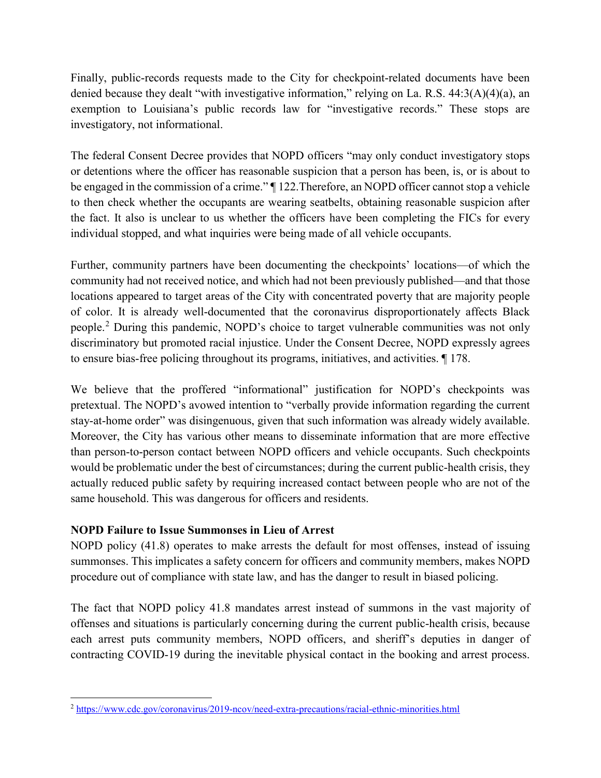Finally, public-records requests made to the City for checkpoint-related documents have been denied because they dealt "with investigative information," relying on La. R.S. 44:3(A)(4)(a), an exemption to Louisiana's public records law for "investigative records." These stops are investigatory, not informational.

The federal Consent Decree provides that NOPD officers "may only conduct investigatory stops or detentions where the officer has reasonable suspicion that a person has been, is, or is about to be engaged in the commission of a crime." ¶ 122.Therefore, an NOPD officer cannot stop a vehicle to then check whether the occupants are wearing seatbelts, obtaining reasonable suspicion after the fact. It also is unclear to us whether the officers have been completing the FICs for every individual stopped, and what inquiries were being made of all vehicle occupants.

Further, community partners have been documenting the checkpoints' locations—of which the community had not received notice, and which had not been previously published—and that those locations appeared to target areas of the City with concentrated poverty that are majority people of color. It is already well-documented that the coronavirus disproportionately affects Black people.[2](#page-1-0) During this pandemic, NOPD's choice to target vulnerable communities was not only discriminatory but promoted racial injustice. Under the Consent Decree, NOPD expressly agrees to ensure bias-free policing throughout its programs, initiatives, and activities. ¶ 178.

We believe that the proffered "informational" justification for NOPD's checkpoints was pretextual. The NOPD's avowed intention to "verbally provide information regarding the current stay-at-home order" was disingenuous, given that such information was already widely available. Moreover, the City has various other means to disseminate information that are more effective than person-to-person contact between NOPD officers and vehicle occupants. Such checkpoints would be problematic under the best of circumstances; during the current public-health crisis, they actually reduced public safety by requiring increased contact between people who are not of the same household. This was dangerous for officers and residents.

## **NOPD Failure to Issue Summonses in Lieu of Arrest**

NOPD policy (41.8) operates to make arrests the default for most offenses, instead of issuing summonses. This implicates a safety concern for officers and community members, makes NOPD procedure out of compliance with state law, and has the danger to result in biased policing.

The fact that NOPD policy 41.8 mandates arrest instead of summons in the vast majority of offenses and situations is particularly concerning during the current public-health crisis, because each arrest puts community members, NOPD officers, and sheriff's deputies in danger of contracting COVID-19 during the inevitable physical contact in the booking and arrest process.

<span id="page-1-0"></span> <sup>2</sup> <https://www.cdc.gov/coronavirus/2019-ncov/need-extra-precautions/racial-ethnic-minorities.html>